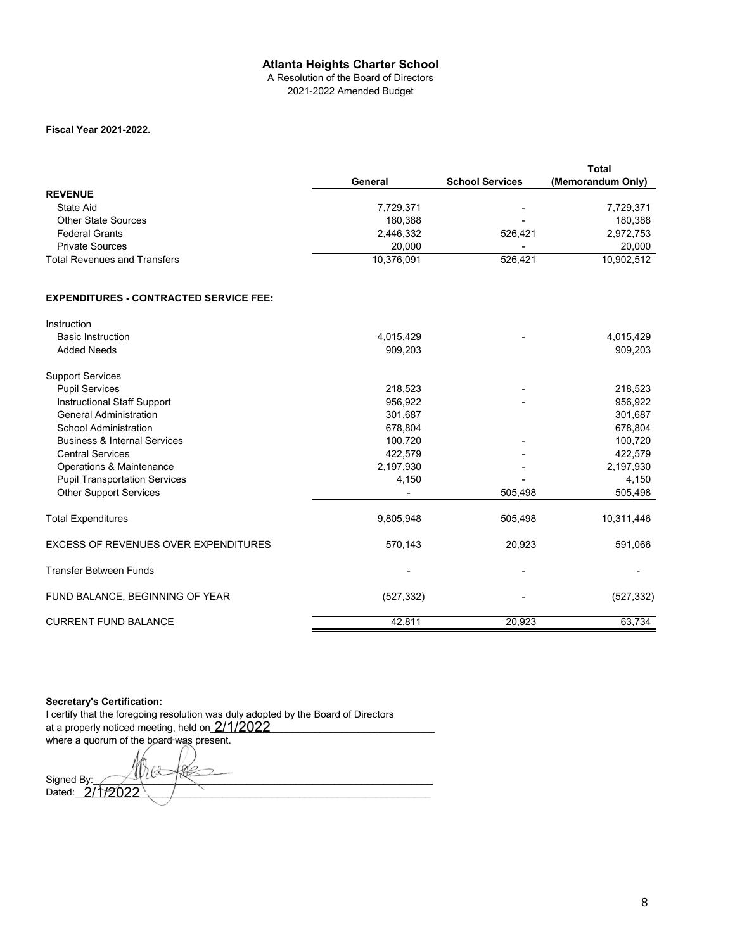## **Atlanta Heights Charter School**

A Resolution of the Board of Directors 2021-2022 Amended Budget

## **Fiscal Year 2021-2022.**

|                                     |            |                          | <b>Total</b>      |
|-------------------------------------|------------|--------------------------|-------------------|
|                                     | General    | <b>School Services</b>   | (Memorandum Only) |
| <b>REVENUE</b>                      |            |                          |                   |
| State Aid                           | 7,729,371  | $\overline{\phantom{0}}$ | 7,729,371         |
| <b>Other State Sources</b>          | 180.388    | $\overline{\phantom{0}}$ | 180.388           |
| <b>Federal Grants</b>               | 2,446,332  | 526.421                  | 2,972,753         |
| <b>Private Sources</b>              | 20,000     |                          | 20,000            |
| <b>Total Revenues and Transfers</b> | 10,376,091 | 526.421                  | 10,902,512        |

## **EXPENDITURES - CONTRACTED SERVICE FEE:**

| Instruction                                 |            |         |            |
|---------------------------------------------|------------|---------|------------|
| <b>Basic Instruction</b>                    | 4,015,429  |         | 4,015,429  |
| <b>Added Needs</b>                          | 909,203    |         | 909,203    |
| <b>Support Services</b>                     |            |         |            |
| <b>Pupil Services</b>                       | 218,523    |         | 218,523    |
| Instructional Staff Support                 | 956,922    |         | 956,922    |
| <b>General Administration</b>               | 301,687    |         | 301,687    |
| School Administration                       | 678,804    |         | 678,804    |
| <b>Business &amp; Internal Services</b>     | 100,720    |         | 100,720    |
| <b>Central Services</b>                     | 422,579    |         | 422,579    |
| Operations & Maintenance                    | 2,197,930  |         | 2,197,930  |
| <b>Pupil Transportation Services</b>        | 4,150      |         | 4,150      |
| <b>Other Support Services</b>               |            | 505,498 | 505,498    |
| <b>Total Expenditures</b>                   | 9,805,948  | 505,498 | 10,311,446 |
| <b>EXCESS OF REVENUES OVER EXPENDITURES</b> | 570,143    | 20,923  | 591,066    |
| <b>Transfer Between Funds</b>               |            |         |            |
| FUND BALANCE, BEGINNING OF YEAR             | (527, 332) |         | (527, 332) |
| <b>CURRENT FUND BALANCE</b>                 | 42,811     | 20,923  | 63,734     |

**Secretary's Certification:**

I certify that the foregoing resolution was duly adopted by the Board of Directors at a properly noticed meeting, held on  $\underline{2/1/2022}$  \_\_\_\_\_\_\_\_\_\_\_\_\_\_\_\_\_\_\_\_\_\_\_\_\_\_\_\_\_\_\_ where a quorum of the board was present.

Signed By:\_\_\_\_\_\_\_\_\_\_\_\_\_\_\_\_\_\_\_\_\_\_\_\_\_\_\_\_\_\_\_\_\_\_\_\_\_\_\_\_\_\_\_\_\_\_\_\_\_\_\_\_\_\_\_\_\_\_\_\_\_\_ Dated:\_\_\_\_\_\_\_\_\_\_\_\_\_\_\_\_\_\_\_\_\_\_\_\_\_\_\_\_\_\_\_\_\_\_\_\_\_\_\_\_\_\_\_\_\_\_\_\_\_\_\_\_\_\_\_\_\_\_\_\_\_\_\_\_\_ 2/1/2022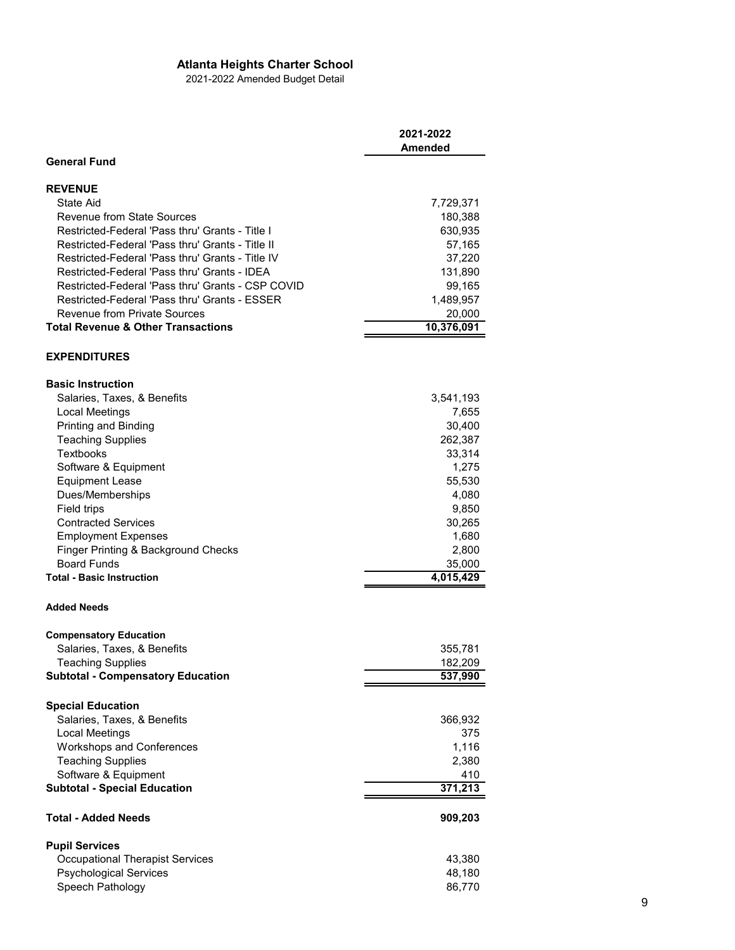## **Atlanta Heights Charter School**

2021-2022 Amended Budget Detail

|                                                                                                      | 2021-2022<br>Amended |
|------------------------------------------------------------------------------------------------------|----------------------|
| <b>General Fund</b>                                                                                  |                      |
| <b>REVENUE</b><br><b>State Aid</b><br>Revenue from State Sources                                     | 7,729,371<br>180,388 |
| Restricted-Federal 'Pass thru' Grants - Title I                                                      | 630,935              |
| Restricted-Federal 'Pass thru' Grants - Title II<br>Restricted-Federal 'Pass thru' Grants - Title IV | 57,165<br>37,220     |
| Restricted-Federal 'Pass thru' Grants - IDEA                                                         | 131,890              |
| Restricted-Federal 'Pass thru' Grants - CSP COVID<br>Restricted-Federal 'Pass thru' Grants - ESSER   | 99,165<br>1,489,957  |
| <b>Revenue from Private Sources</b>                                                                  | 20,000               |
| <b>Total Revenue &amp; Other Transactions</b>                                                        | 10,376,091           |
| <b>EXPENDITURES</b>                                                                                  |                      |
| <b>Basic Instruction</b>                                                                             |                      |
| Salaries, Taxes, & Benefits                                                                          | 3,541,193            |
| <b>Local Meetings</b><br>Printing and Binding                                                        | 7,655<br>30,400      |
| <b>Teaching Supplies</b>                                                                             | 262,387              |
| <b>Textbooks</b>                                                                                     | 33,314               |
| Software & Equipment                                                                                 | 1,275                |
| <b>Equipment Lease</b><br>Dues/Memberships                                                           | 55,530<br>4,080      |
| Field trips                                                                                          | 9,850                |
| <b>Contracted Services</b>                                                                           | 30,265               |
| <b>Employment Expenses</b>                                                                           | 1,680                |
| Finger Printing & Background Checks                                                                  | 2,800                |
| <b>Board Funds</b>                                                                                   | 35,000               |
| <b>Total - Basic Instruction</b>                                                                     | 4,015,429            |
| <b>Added Needs</b>                                                                                   |                      |
| <b>Compensatory Education</b>                                                                        |                      |
| Salaries, Taxes, & Benefits<br><b>Teaching Supplies</b>                                              | 355,781<br>182,209   |
| <b>Subtotal - Compensatory Education</b>                                                             | 537,990              |
| <b>Special Education</b>                                                                             |                      |
| Salaries, Taxes, & Benefits                                                                          | 366,932              |
| <b>Local Meetings</b>                                                                                | 375                  |
| Workshops and Conferences                                                                            | 1,116                |
| <b>Teaching Supplies</b>                                                                             | 2,380<br>410         |
| Software & Equipment<br><b>Subtotal - Special Education</b>                                          | 371,213              |
| Total - Added Needs                                                                                  | 909,203              |
| <b>Pupil Services</b>                                                                                |                      |
| <b>Occupational Therapist Services</b>                                                               | 43,380               |
| <b>Psychological Services</b><br>Speech Pathology                                                    | 48,180<br>86,770     |
|                                                                                                      |                      |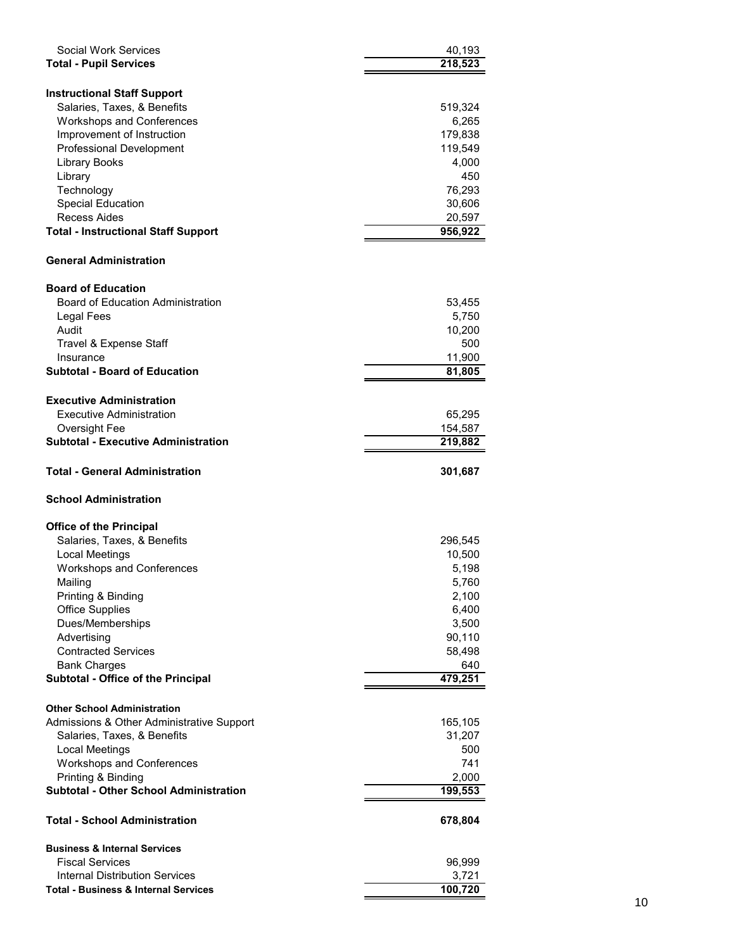| Social Work Services                              | 40,193               |
|---------------------------------------------------|----------------------|
| <b>Total - Pupil Services</b>                     | $\overline{218,523}$ |
|                                                   |                      |
| <b>Instructional Staff Support</b>                |                      |
| Salaries, Taxes, & Benefits                       | 519,324              |
| <b>Workshops and Conferences</b>                  | 6,265                |
| Improvement of Instruction                        | 179,838              |
| <b>Professional Development</b>                   | 119,549              |
| <b>Library Books</b>                              | 4,000                |
| Library                                           | 450                  |
| Technology                                        | 76,293               |
| <b>Special Education</b>                          | 30,606               |
| Recess Aides                                      | 20,597               |
| <b>Total - Instructional Staff Support</b>        | 956,922              |
| <b>General Administration</b>                     |                      |
| <b>Board of Education</b>                         |                      |
| <b>Board of Education Administration</b>          |                      |
|                                                   | 53,455               |
| Legal Fees<br>Audit                               | 5,750                |
|                                                   | 10,200<br>500        |
| Travel & Expense Staff                            |                      |
| Insurance<br><b>Subtotal - Board of Education</b> | 11,900               |
|                                                   | 81,805               |
| <b>Executive Administration</b>                   |                      |
| Executive Administration                          | 65,295               |
| Oversight Fee                                     | 154,587              |
| <b>Subtotal - Executive Administration</b>        | 219,882              |
|                                                   |                      |
| Total - General Administration                    | 301,687              |
| <b>School Administration</b>                      |                      |
| <b>Office of the Principal</b>                    |                      |
| Salaries, Taxes, & Benefits                       | 296,545              |
| Local Meetings                                    | 10,500               |
| <b>Workshops and Conferences</b>                  | 5,198                |
| Mailing                                           | 5,760                |
| Printing & Binding                                | 2,100                |
| <b>Office Supplies</b>                            | 6,400                |
| Dues/Memberships                                  | 3,500                |
| Advertising                                       | 90,110               |
| <b>Contracted Services</b>                        | 58,498               |
| <b>Bank Charges</b>                               | 640                  |
| <b>Subtotal - Office of the Principal</b>         | 479,251              |
|                                                   |                      |
| <b>Other School Administration</b>                |                      |
| Admissions & Other Administrative Support         | 165,105              |
| Salaries, Taxes, & Benefits                       | 31,207               |
| Local Meetings                                    | 500                  |
| Workshops and Conferences                         | 741                  |
| Printing & Binding                                | 2,000                |
| <b>Subtotal - Other School Administration</b>     | 199,553              |
| <b>Total - School Administration</b>              | 678,804              |
| <b>Business &amp; Internal Services</b>           |                      |
| <b>Fiscal Services</b>                            | 96,999               |
| <b>Internal Distribution Services</b>             | 3,721                |
| <b>Total - Business &amp; Internal Services</b>   | 100,720              |
|                                                   |                      |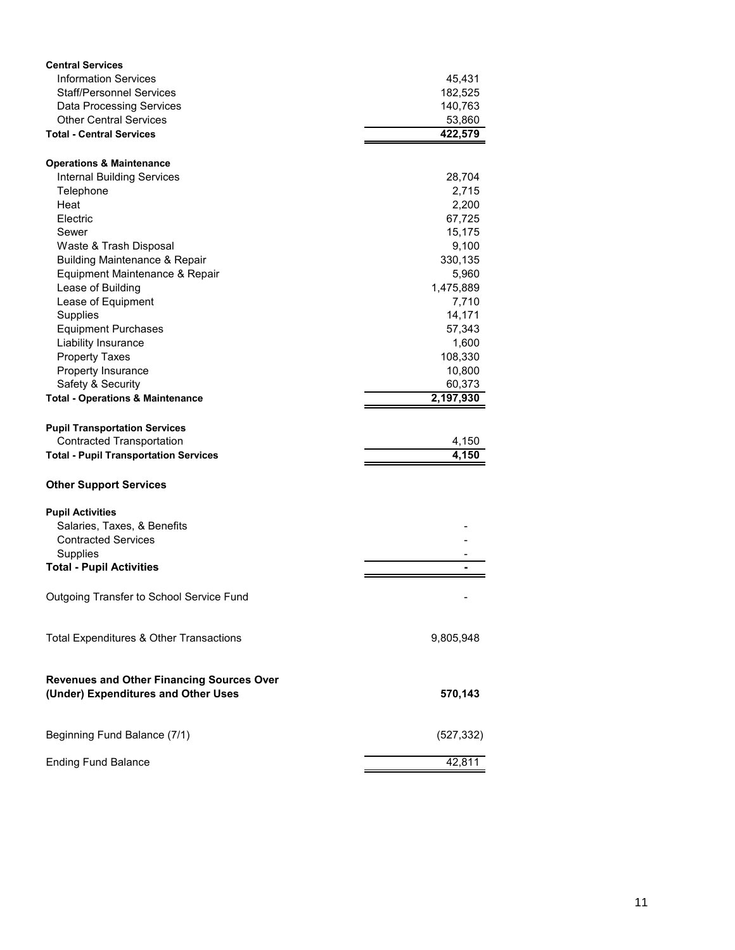| <b>Information Services</b><br>45,431<br><b>Staff/Personnel Services</b><br>182,525<br><b>Data Processing Services</b><br>140,763<br><b>Other Central Services</b><br>53,860<br><b>Total - Central Services</b><br>422,579<br><b>Operations &amp; Maintenance</b><br>28,704<br><b>Internal Building Services</b><br>Telephone<br>2,715<br>Heat<br>2,200<br>Electric<br>67,725<br>Sewer<br>15,175<br>Waste & Trash Disposal<br>9,100<br><b>Building Maintenance &amp; Repair</b><br>330,135<br>Equipment Maintenance & Repair<br>5,960<br>Lease of Building<br>1,475,889<br>Lease of Equipment<br>7,710<br>Supplies<br>14,171<br>57,343<br><b>Equipment Purchases</b><br>Liability Insurance<br>1,600<br><b>Property Taxes</b><br>108,330<br>Property Insurance<br>10,800<br>Safety & Security<br>60,373<br>2,197,930<br><b>Total - Operations &amp; Maintenance</b><br><b>Pupil Transportation Services</b><br><b>Contracted Transportation</b><br>4,150<br>4,150<br><b>Total - Pupil Transportation Services</b><br><b>Other Support Services</b><br><b>Pupil Activities</b><br>Salaries, Taxes, & Benefits<br><b>Contracted Services</b><br><b>Supplies</b><br><b>Total - Pupil Activities</b><br>Outgoing Transfer to School Service Fund<br>Total Expenditures & Other Transactions<br>9,805,948<br><b>Revenues and Other Financing Sources Over</b><br>(Under) Expenditures and Other Uses<br>570,143<br>Beginning Fund Balance (7/1)<br>(527, 332)<br><b>Ending Fund Balance</b><br>42,811 | <b>Central Services</b> |  |
|--------------------------------------------------------------------------------------------------------------------------------------------------------------------------------------------------------------------------------------------------------------------------------------------------------------------------------------------------------------------------------------------------------------------------------------------------------------------------------------------------------------------------------------------------------------------------------------------------------------------------------------------------------------------------------------------------------------------------------------------------------------------------------------------------------------------------------------------------------------------------------------------------------------------------------------------------------------------------------------------------------------------------------------------------------------------------------------------------------------------------------------------------------------------------------------------------------------------------------------------------------------------------------------------------------------------------------------------------------------------------------------------------------------------------------------------------------------------------------------------------|-------------------------|--|
|                                                                                                                                                                                                                                                                                                                                                                                                                                                                                                                                                                                                                                                                                                                                                                                                                                                                                                                                                                                                                                                                                                                                                                                                                                                                                                                                                                                                                                                                                                  |                         |  |
|                                                                                                                                                                                                                                                                                                                                                                                                                                                                                                                                                                                                                                                                                                                                                                                                                                                                                                                                                                                                                                                                                                                                                                                                                                                                                                                                                                                                                                                                                                  |                         |  |
|                                                                                                                                                                                                                                                                                                                                                                                                                                                                                                                                                                                                                                                                                                                                                                                                                                                                                                                                                                                                                                                                                                                                                                                                                                                                                                                                                                                                                                                                                                  |                         |  |
|                                                                                                                                                                                                                                                                                                                                                                                                                                                                                                                                                                                                                                                                                                                                                                                                                                                                                                                                                                                                                                                                                                                                                                                                                                                                                                                                                                                                                                                                                                  |                         |  |
|                                                                                                                                                                                                                                                                                                                                                                                                                                                                                                                                                                                                                                                                                                                                                                                                                                                                                                                                                                                                                                                                                                                                                                                                                                                                                                                                                                                                                                                                                                  |                         |  |
|                                                                                                                                                                                                                                                                                                                                                                                                                                                                                                                                                                                                                                                                                                                                                                                                                                                                                                                                                                                                                                                                                                                                                                                                                                                                                                                                                                                                                                                                                                  |                         |  |
|                                                                                                                                                                                                                                                                                                                                                                                                                                                                                                                                                                                                                                                                                                                                                                                                                                                                                                                                                                                                                                                                                                                                                                                                                                                                                                                                                                                                                                                                                                  |                         |  |
|                                                                                                                                                                                                                                                                                                                                                                                                                                                                                                                                                                                                                                                                                                                                                                                                                                                                                                                                                                                                                                                                                                                                                                                                                                                                                                                                                                                                                                                                                                  |                         |  |
|                                                                                                                                                                                                                                                                                                                                                                                                                                                                                                                                                                                                                                                                                                                                                                                                                                                                                                                                                                                                                                                                                                                                                                                                                                                                                                                                                                                                                                                                                                  |                         |  |
|                                                                                                                                                                                                                                                                                                                                                                                                                                                                                                                                                                                                                                                                                                                                                                                                                                                                                                                                                                                                                                                                                                                                                                                                                                                                                                                                                                                                                                                                                                  |                         |  |
|                                                                                                                                                                                                                                                                                                                                                                                                                                                                                                                                                                                                                                                                                                                                                                                                                                                                                                                                                                                                                                                                                                                                                                                                                                                                                                                                                                                                                                                                                                  |                         |  |
|                                                                                                                                                                                                                                                                                                                                                                                                                                                                                                                                                                                                                                                                                                                                                                                                                                                                                                                                                                                                                                                                                                                                                                                                                                                                                                                                                                                                                                                                                                  |                         |  |
|                                                                                                                                                                                                                                                                                                                                                                                                                                                                                                                                                                                                                                                                                                                                                                                                                                                                                                                                                                                                                                                                                                                                                                                                                                                                                                                                                                                                                                                                                                  |                         |  |
|                                                                                                                                                                                                                                                                                                                                                                                                                                                                                                                                                                                                                                                                                                                                                                                                                                                                                                                                                                                                                                                                                                                                                                                                                                                                                                                                                                                                                                                                                                  |                         |  |
|                                                                                                                                                                                                                                                                                                                                                                                                                                                                                                                                                                                                                                                                                                                                                                                                                                                                                                                                                                                                                                                                                                                                                                                                                                                                                                                                                                                                                                                                                                  |                         |  |
|                                                                                                                                                                                                                                                                                                                                                                                                                                                                                                                                                                                                                                                                                                                                                                                                                                                                                                                                                                                                                                                                                                                                                                                                                                                                                                                                                                                                                                                                                                  |                         |  |
|                                                                                                                                                                                                                                                                                                                                                                                                                                                                                                                                                                                                                                                                                                                                                                                                                                                                                                                                                                                                                                                                                                                                                                                                                                                                                                                                                                                                                                                                                                  |                         |  |
|                                                                                                                                                                                                                                                                                                                                                                                                                                                                                                                                                                                                                                                                                                                                                                                                                                                                                                                                                                                                                                                                                                                                                                                                                                                                                                                                                                                                                                                                                                  |                         |  |
|                                                                                                                                                                                                                                                                                                                                                                                                                                                                                                                                                                                                                                                                                                                                                                                                                                                                                                                                                                                                                                                                                                                                                                                                                                                                                                                                                                                                                                                                                                  |                         |  |
|                                                                                                                                                                                                                                                                                                                                                                                                                                                                                                                                                                                                                                                                                                                                                                                                                                                                                                                                                                                                                                                                                                                                                                                                                                                                                                                                                                                                                                                                                                  |                         |  |
|                                                                                                                                                                                                                                                                                                                                                                                                                                                                                                                                                                                                                                                                                                                                                                                                                                                                                                                                                                                                                                                                                                                                                                                                                                                                                                                                                                                                                                                                                                  |                         |  |
|                                                                                                                                                                                                                                                                                                                                                                                                                                                                                                                                                                                                                                                                                                                                                                                                                                                                                                                                                                                                                                                                                                                                                                                                                                                                                                                                                                                                                                                                                                  |                         |  |
|                                                                                                                                                                                                                                                                                                                                                                                                                                                                                                                                                                                                                                                                                                                                                                                                                                                                                                                                                                                                                                                                                                                                                                                                                                                                                                                                                                                                                                                                                                  |                         |  |
|                                                                                                                                                                                                                                                                                                                                                                                                                                                                                                                                                                                                                                                                                                                                                                                                                                                                                                                                                                                                                                                                                                                                                                                                                                                                                                                                                                                                                                                                                                  |                         |  |
|                                                                                                                                                                                                                                                                                                                                                                                                                                                                                                                                                                                                                                                                                                                                                                                                                                                                                                                                                                                                                                                                                                                                                                                                                                                                                                                                                                                                                                                                                                  |                         |  |
|                                                                                                                                                                                                                                                                                                                                                                                                                                                                                                                                                                                                                                                                                                                                                                                                                                                                                                                                                                                                                                                                                                                                                                                                                                                                                                                                                                                                                                                                                                  |                         |  |
|                                                                                                                                                                                                                                                                                                                                                                                                                                                                                                                                                                                                                                                                                                                                                                                                                                                                                                                                                                                                                                                                                                                                                                                                                                                                                                                                                                                                                                                                                                  |                         |  |
|                                                                                                                                                                                                                                                                                                                                                                                                                                                                                                                                                                                                                                                                                                                                                                                                                                                                                                                                                                                                                                                                                                                                                                                                                                                                                                                                                                                                                                                                                                  |                         |  |
|                                                                                                                                                                                                                                                                                                                                                                                                                                                                                                                                                                                                                                                                                                                                                                                                                                                                                                                                                                                                                                                                                                                                                                                                                                                                                                                                                                                                                                                                                                  |                         |  |
|                                                                                                                                                                                                                                                                                                                                                                                                                                                                                                                                                                                                                                                                                                                                                                                                                                                                                                                                                                                                                                                                                                                                                                                                                                                                                                                                                                                                                                                                                                  |                         |  |
|                                                                                                                                                                                                                                                                                                                                                                                                                                                                                                                                                                                                                                                                                                                                                                                                                                                                                                                                                                                                                                                                                                                                                                                                                                                                                                                                                                                                                                                                                                  |                         |  |
|                                                                                                                                                                                                                                                                                                                                                                                                                                                                                                                                                                                                                                                                                                                                                                                                                                                                                                                                                                                                                                                                                                                                                                                                                                                                                                                                                                                                                                                                                                  |                         |  |
|                                                                                                                                                                                                                                                                                                                                                                                                                                                                                                                                                                                                                                                                                                                                                                                                                                                                                                                                                                                                                                                                                                                                                                                                                                                                                                                                                                                                                                                                                                  |                         |  |
|                                                                                                                                                                                                                                                                                                                                                                                                                                                                                                                                                                                                                                                                                                                                                                                                                                                                                                                                                                                                                                                                                                                                                                                                                                                                                                                                                                                                                                                                                                  |                         |  |
|                                                                                                                                                                                                                                                                                                                                                                                                                                                                                                                                                                                                                                                                                                                                                                                                                                                                                                                                                                                                                                                                                                                                                                                                                                                                                                                                                                                                                                                                                                  |                         |  |
|                                                                                                                                                                                                                                                                                                                                                                                                                                                                                                                                                                                                                                                                                                                                                                                                                                                                                                                                                                                                                                                                                                                                                                                                                                                                                                                                                                                                                                                                                                  |                         |  |
|                                                                                                                                                                                                                                                                                                                                                                                                                                                                                                                                                                                                                                                                                                                                                                                                                                                                                                                                                                                                                                                                                                                                                                                                                                                                                                                                                                                                                                                                                                  |                         |  |
|                                                                                                                                                                                                                                                                                                                                                                                                                                                                                                                                                                                                                                                                                                                                                                                                                                                                                                                                                                                                                                                                                                                                                                                                                                                                                                                                                                                                                                                                                                  |                         |  |
|                                                                                                                                                                                                                                                                                                                                                                                                                                                                                                                                                                                                                                                                                                                                                                                                                                                                                                                                                                                                                                                                                                                                                                                                                                                                                                                                                                                                                                                                                                  |                         |  |
|                                                                                                                                                                                                                                                                                                                                                                                                                                                                                                                                                                                                                                                                                                                                                                                                                                                                                                                                                                                                                                                                                                                                                                                                                                                                                                                                                                                                                                                                                                  |                         |  |
|                                                                                                                                                                                                                                                                                                                                                                                                                                                                                                                                                                                                                                                                                                                                                                                                                                                                                                                                                                                                                                                                                                                                                                                                                                                                                                                                                                                                                                                                                                  |                         |  |
|                                                                                                                                                                                                                                                                                                                                                                                                                                                                                                                                                                                                                                                                                                                                                                                                                                                                                                                                                                                                                                                                                                                                                                                                                                                                                                                                                                                                                                                                                                  |                         |  |